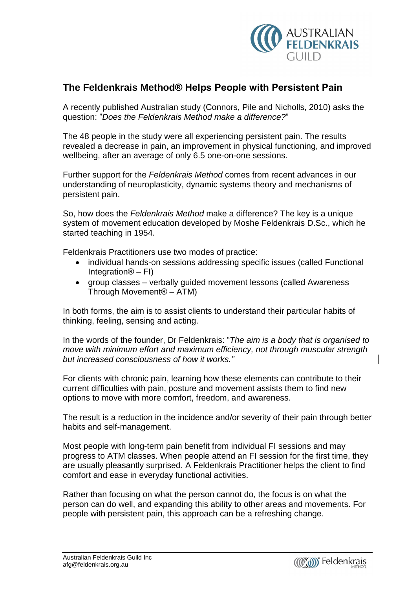

## **The Feldenkrais Method<sup>Æ</sup> Helps People with Persistent Pain**

A recently published Australian study (Connors, Pile and Nicholls, 2010) asks the question: "Does the Feldenkrais Method make a difference?"

The 48 people in the study were all experiencing persistent pain. The results revealed a decrease in pain, an improvement in physical functioning, and improved wellbeing, after an average of only 6.5 one-on-one sessions.

Further support for the Feldenkrais Method comes from recent advances in our understanding of neuroplasticity, dynamic systems theory and mechanisms of persistent pain.

So, how does the Feldenkrais Method make a difference? The key is a unique system of movement education developed by Moshe Feldenkrais D.Sc., which he started teaching in 1954.

Feldenkrais Practitioners use two modes of practice:

- individual hands-on sessions addressing specific issues (called Functional denkrais Practitioners use tv<br>● individual hands-on sess<br>Integration® – FI) individual hands-on sessions addressing specific issues (called Functional<br>Integration® – FI)<br>group classes – verbally guided movement lessons (called Awareness
- Integration® FI)<br>group classes verbally guided mo<br>Through Movement® ATM)

In both forms, the aim is to assist clients to understand their particular habits of thinking, feeling, sensing and acting. In the words of the same the sector change to ansiet cland anon-permeters. Include the change of the founder,<br>In the words of the founder, Dr Feldenkrais: "*The aim is a body that is organised to* 

move with minimum effort and maximum efficiency, not through muscular strength In the words of the founder, Dr Feldenkrais: "*The ail move with minimum effort and maximum efficiency,*<br>but increased consciousness of how it works."

For clients with chronic pain, learning how these elements can contribute to their current difficulties with pain, posture and movement assists them to find new options to move with more comfort, freedom, and awareness.

The result is a reduction in the incidence and/or severity of their pain through better habits and self-management.

Most people with long-term pain benefit from individual FI sessions and may progress to ATM classes. When people attend an FI session for the first time, they are usually pleasantly surprised. A Feldenkrais Practitioner helps the client to find comfort and ease in everyday functional activities.

Rather than focusing on what the person cannot do, the focus is on what the person can do well, and expanding this ability to other areas and movements. For people with persistent pain, this approach can be a refreshing change.